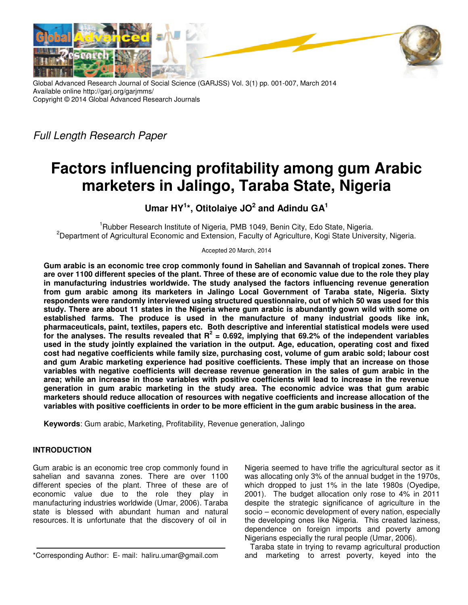

Global Advanced Research Journal of Social Science (GARJSS) Vol. 3(1) pp. 001-007, March 2014 Available online http://garj.org/garjmms/ Copyright © 2014 Global Advanced Research Journals

*Full Length Research Paper* 

# **Factors influencing profitability among gum Arabic marketers in Jalingo, Taraba State, Nigeria**

**Umar HY<sup>1</sup> \*, Otitolaiye JO<sup>2</sup> and Adindu GA<sup>1</sup>**

<sup>1</sup>Rubber Research Institute of Nigeria, PMB 1049, Benin City, Edo State, Nigeria. <sup>2</sup>Department of Agricultural Economic and Extension, Faculty of Agriculture, Kogi State University, Nigeria.

Accepted 20 March, 2014

**Gum arabic is an economic tree crop commonly found in Sahelian and Savannah of tropical zones. There are over 1100 different species of the plant. Three of these are of economic value due to the role they play in manufacturing industries worldwide. The study analysed the factors influencing revenue generation from gum arabic among its marketers in Jalingo Local Government of Taraba state, Nigeria. Sixty respondents were randomly interviewed using structured questionnaire, out of which 50 was used for this study. There are about 11 states in the Nigeria where gum arabic is abundantly gown wild with some on established farms. The produce is used in the manufacture of many industrial goods like ink, pharmaceuticals, paint, textiles, papers etc. Both descriptive and inferential statistical models were used for the analyses. The results revealed that R<sup>2</sup> = 0.692, implying that 69.2% of the independent variables used in the study jointly explained the variation in the output. Age, education, operating cost and fixed cost had negative coefficients while family size, purchasing cost, volume of gum arabic sold; labour cost and gum Arabic marketing experience had positive coefficients. These imply that an increase on those variables with negative coefficients will decrease revenue generation in the sales of gum arabic in the area; while an increase in those variables with positive coefficients will lead to increase in the revenue generation in gum arabic marketing in the study area. The economic advice was that gum arabic marketers should reduce allocation of resources with negative coefficients and increase allocation of the variables with positive coefficients in order to be more efficient in the gum arabic business in the area.** 

**Keywords**: Gum arabic, Marketing, Profitability, Revenue generation, Jalingo

# **INTRODUCTION**

Gum arabic is an economic tree crop commonly found in sahelian and savanna zones. There are over 1100 different species of the plant. Three of these are of economic value due to the role they play in manufacturing industries worldwide (Umar, 2006). Taraba state is blessed with abundant human and natural resources. It is unfortunate that the discovery of oil in

Nigeria seemed to have trifle the agricultural sector as it was allocating only 3% of the annual budget in the 1970s, which dropped to just 1% in the late 1980s (Oyedipe, 2001). The budget allocation only rose to 4% in 2011 despite the strategic significance of agriculture in the socio – economic development of every nation, especially the developing ones like Nigeria. This created laziness, dependence on foreign imports and poverty among Nigerians especially the rural people (Umar, 2006).

Taraba state in trying to revamp agricultural production and marketing to arrest poverty, keyed into the

<sup>\*</sup>Corresponding Author:E- mail: haliru.umar@gmail.com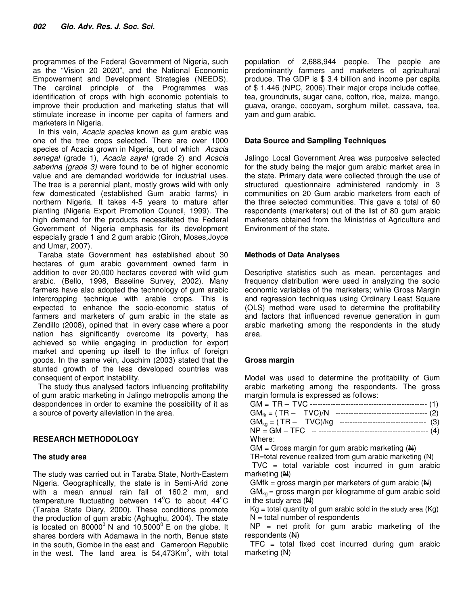programmes of the Federal Government of Nigeria, such as the "Vision 20 2020", and the National Economic Empowerment and Development Strategies (NEEDS). The cardinal principle of the Programmes was identification of crops with high economic potentials to improve their production and marketing status that will stimulate increase in income per capita of farmers and marketers in Nigeria.

In this vein, *Acacia species* known as gum arabic was one of the tree crops selected. There are over 1000 species of Acacia grown in Nigeria, out of which *Acacia senegal* (grade 1), *Acacia sayel* (grade 2) and *Acacia saberina (grade 3)* were found to be of higher economic value and are demanded worldwide for industrial uses. The tree is a perennial plant, mostly grows wild with only few domesticated (established Gum arabic farms) in northern Nigeria. It takes 4-5 years to mature after planting (Nigeria Export Promotion Council, 1999). The high demand for the products necessitated the Federal Government of Nigeria emphasis for its development especially grade 1 and 2 gum arabic (Giroh, Moses*,*Joyce and Umar, 2007).

Taraba state Government has established about 30 hectares of gum arabic government owned farm in addition to over 20,000 hectares covered with wild gum arabic. (Bello, 1998, Baseline Survey, 2002). Many farmers have also adopted the technology of gum arabic intercropping technique with arable crops. This is expected to enhance the socio-economic status of farmers and marketers of gum arabic in the state as Zendillo (2008), opined that in every case where a poor nation has significantly overcome its poverty, has achieved so while engaging in production for export market and opening up itself to the influx of foreign goods. In the same vein, Joachim (2003) stated that the stunted growth of the less developed countries was consequent of export instability.

The study thus analysed factors influencing profitability of gum arabic marketing in Jalingo metropolis among the despondences in order to examine the possibility of it as a source of poverty alleviation in the area.

# **RESEARCH METHODOLOGY**

# **The study area**

The study was carried out in Taraba State, North-Eastern Nigeria. Geographically, the state is in Semi-Arid zone with a mean annual rain fall of 160.2 mm, and temperature fluctuating between  $14^{\circ}$ C to about  $44^{\circ}$ C (Taraba State Diary, 2000). These conditions promote the production of gum arabic (Aghughu, 2004). The state is located on 80000 $^{\circ}$  N and 10.5000 $^{\circ}$  E on the globe. It shares borders with Adamawa in the north, Benue state in the south, Gombe in the east and Cameroon Republic in the west. The land area is  $54,473$ Km<sup>2</sup>, with total

population of 2,688,944 people. The people are predominantly farmers and marketers of agricultural produce. The GDP is \$ 3.4 billion and income per capita of \$ 1.446 (NPC, 2006).Their major crops include coffee, tea, groundnuts, sugar cane, cotton, rice, maize, mango, guava, orange, cocoyam, sorghum millet, cassava, tea, yam and gum arabic.

# **Data Source and Sampling Techniques**

Jalingo Local Government Area was purposive selected for the study being the major gum arabic market area in the state. **P**rimary data were collected through the use of structured questionnaire administered randomly in 3 communities on 20 Gum arabic marketers from each of the three selected communities. This gave a total of 60 respondents (marketers) out of the list of 80 gum arabic marketers obtained from the Ministries of Agriculture and Environment of the state.

# **Methods of Data Analyses**

Descriptive statistics such as mean, percentages and frequency distribution were used in analyzing the socio economic variables of the marketers; while Gross Margin and regression techniques using Ordinary Least Square (OLS) method were used to determine the profitability and factors that influenced revenue generation in gum arabic marketing among the respondents in the study area.

# **Gross margin**

Model was used to determine the profitability of Gum arabic marketing among the respondents. The gross margin formula is expressed as follows:

| $GM_{ka} = (TR - TVC)/kg$<br>-----------------------------------(3)   |
|-----------------------------------------------------------------------|
| $NP = GM - TFC - \dots - \dots - \dots - \dots - \dots - \dots - (4)$ |
| Where:                                                                |

 $GM =$  Gross margin for gum arabic marketing  $(M)$ 

TR=total revenue realized from gum arabic marketing  $(A)$ 

 $TVC = total variable cost incurred in gum arabic$ marketing (N)

GMfk = gross margin per marketers of gum arabic  $(A)$ 

 $GM_{\text{ko}}$  = gross margin per kilogramme of gum arabic sold in the study area  $(N)$ 

 $Kg =$  total quantity of gum arabic sold in the study area  $(Kg)$  $N =$  total number of respondents

 $NP$  = net profit for gum arabic marketing of the respondents (N)

 $TFC = total fixed cost incurred during gum arabic$ marketing (N)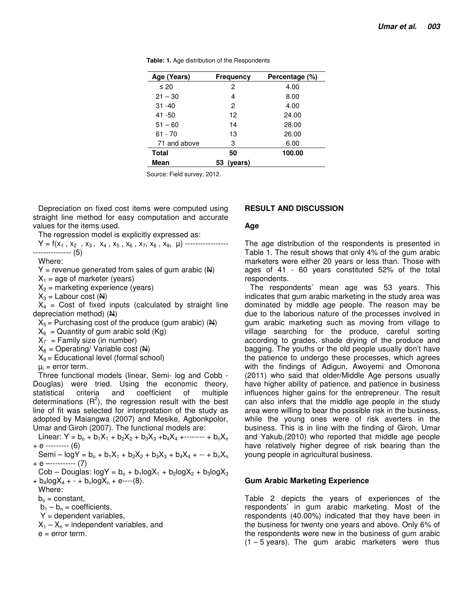| Age (Years)  | Frequency     | Percentage (%) |
|--------------|---------------|----------------|
| $\leq 20$    | 2             | 4.00           |
| $21 - 30$    | 4             | 8.00           |
| $31 - 40$    | 2             | 4.00           |
| 41 - 50      | 12            | 24.00          |
| $51 - 60$    | 14            | 28.00          |
| $61 - 70$    | 13            | 26.00          |
| 71 and above | 3             | 6.00           |
| Total        | 50            | 100.00         |
| Mean         | (years)<br>53 |                |

**Table: 1.** Age distribution of the Respondents

Source: Field survey, 2012.

Depreciation on fixed cost items were computed using straight line method for easy computation and accurate values for the items used.

The regression model is explicitly expressed as:

Y = f(x1 , x2 , x3 , x4 , x5 , x6 , x7, x8 , x9, µ) ----------------- --------------- (5)

Where:

 $Y =$  revenue generated from sales of gum arabic  $(A)$ 

 $X_1$  = age of marketer (years)

 $X_2$  = marketing experience (years)

 $X_3$  = Labour cost  $(\mathbf{A})$ 

 $X_4$  = Cost of fixed inputs (calculated by straight line depreciation method) (N)

 $X_5$  = Purchasing cost of the produce (gum arabic) ( $\mathbf{\mathsf{N}}$ )

 $X_6$  = Quantity of gum arabic sold (Kg)

 $X_7$  = Family size (in number)

 $X_8$  = Operating/ Variable cost ( $\overline{H}$ )

 $X<sub>9</sub>$  = Educational level (formal school)

 $\mu_i$  = error term.

Three functional models (linear, Semi- log and Cobb - Douglas) were tried. Using the economic theory, statistical criteria and coefficient of multiple determinations  $(R^2)$ , the regression result with the best line of fit was selected for interpretation of the study as adopted by Maiangwa (2007) and Mesike, Agbonkpolor, Umar and Giroh (2007). The functional models are:

Linear:  $Y = b_0 + b_1X_1 + b_2X_2 + b_3X_3 + b_4X_4 + \cdots + b_nX_n$  $+ e$  --------- (6)

Semi –  $logY = b_0 + b_1X_1 + b_2X_2 + b_3X_3 + b_4X_4 + \cdots + b_nX_n$ + e –---------- (7)

 $Cob - Douglas: logY = b_0 + b_1logX_1 + b_2logX_2 + b_3logX_3$  $+ b_4 \log X_4 + - + b_n \log X_n + e^{-(8)}.$ 

Where:

 $b_0$  = constant,

 $b_1 - b_n$  = coefficients,

 $Y =$  dependent variables,

 $X_1 - X_n$  = independent variables, and

e = error term.

## **RESULT AND DISCUSSION**

#### **Age**

The age distribution of the respondents is presented in Table 1. The result shows that only 4% of the gum arabic marketers were either 20 years or less than. Those with ages of 41 - 60 years constituted 52% of the total respondents.

The respondents' mean age was 53 years. This indicates that gum arabic marketing in the study area was dominated by middle age people. The reason may be due to the laborious nature of the processes involved in gum arabic marketing such as moving from village to village searching for the produce, careful sorting according to grades, shade drying of the produce and bagging. The youths or the old people usually don't have the patience to undergo these processes, which agrees with the findings of Adigun, Awoyemi and Omonona (2011) who said that older/Middle Age persons usually have higher ability of patience, and patience in business influences higher gains for the entrepreneur. The result can also infers that the middle age people in the study area were willing to bear the possible risk in the business, while the young ones were of risk averters in the business. This is in line with the finding of Giroh, Umar and Yakub,(2010) who reported that middle age people have relatively higher degree of risk bearing than the young people in agricultural business.

#### **Gum Arabic Marketing Experience**

Table 2 depicts the years of experiences of the respondents' in gum arabic marketing. Most of the respondents (40.00%) indicated that they have been in the business for twenty one years and above. Only 6% of the respondents were new in the business of gum arabic  $(1 - 5$  years). The gum arabic marketers were thus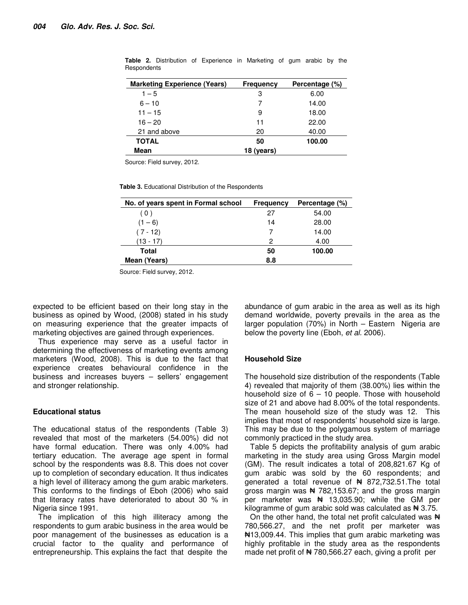| <b>Marketing Experience (Years)</b> | <b>Frequency</b> | Percentage (%) |
|-------------------------------------|------------------|----------------|
| $1 - 5$                             | З                | 6.00           |
| $6 - 10$                            |                  | 14.00          |
| $11 - 15$                           | 9                | 18.00          |
| $16 - 20$                           | 11               | 22.00          |
| 21 and above                        | 20               | 40.00          |
| <b>TOTAL</b>                        | 50               | 100.00         |
| Mean                                | 18 (years)       |                |

**Table 2.** Distribution of Experience in Marketing of gum arabic by the **Respondents** 

Source: Field survey, 2012.

**Table 3.** Educational Distribution of the Respondents

| No. of years spent in Formal school | <b>Frequency</b> | Percentage (%) |
|-------------------------------------|------------------|----------------|
| (0)                                 | 27               | 54.00          |
| $(1 - 6)$                           | 14               | 28.00          |
| $(7 - 12)$                          |                  | 14.00          |
| (13 - 17)                           | 2                | 4.00           |
| Total                               | 50               | 100.00         |
| Mean (Years)                        | 8.8              |                |

Source: Field survey, 2012.

expected to be efficient based on their long stay in the business as opined by Wood, (2008) stated in his study on measuring experience that the greater impacts of marketing objectives are gained through experiences.

Thus experience may serve as a useful factor in determining the effectiveness of marketing events among marketers (Wood, 2008). This is due to the fact that experience creates behavioural confidence in the business and increases buyers – sellers' engagement and stronger relationship.

## **Educational status**

The educational status of the respondents (Table 3) revealed that most of the marketers (54.00%) did not have formal education. There was only 4.00% had tertiary education. The average age spent in formal school by the respondents was 8.8. This does not cover up to completion of secondary education. It thus indicates a high level of illiteracy among the gum arabic marketers. This conforms to the findings of Eboh (2006) who said that literacy rates have deteriorated to about 30 % in Nigeria since 1991.

The implication of this high illiteracy among the respondents to gum arabic business in the area would be poor management of the businesses as education is a crucial factor to the quality and performance of entrepreneurship. This explains the fact that despite the

abundance of gum arabic in the area as well as its high demand worldwide, poverty prevails in the area as the larger population (70%) in North – Eastern Nigeria are below the poverty line (Eboh, *et al.* 2006).

#### **Household Size**

The household size distribution of the respondents (Table 4) revealed that majority of them (38.00%) lies within the household size of  $6 - 10$  people. Those with household size of 21 and above had 8.00% of the total respondents. The mean household size of the study was 12. This implies that most of respondents' household size is large. This may be due to the polygamous system of marriage commonly practiced in the study area.

Table 5 depicts the profitability analysis of gum arabic marketing in the study area using Gross Margin model (GM). The result indicates a total of 208,821.67 Kg of gum arabic was sold by the 60 respondents; and generated a total revenue of  $\#$  872,732.51. The total gross margin was  $\frac{1}{2}$  782,153.67; and the gross margin per marketer was  $\frac{1}{2}$  13,035.90; while the GM per kilogramme of gum arabic sold was calculated as  $\blacktriangleleft$  3.75.

On the other hand, the total net profit calculated was  $\mathbb{H}$ 780,566.27, and the net profit per marketer was ₦13,009.44. This implies that gum arabic marketing was highly profitable in the study area as the respondents made net profit of  $\neq 780,566.27$  each, giving a profit per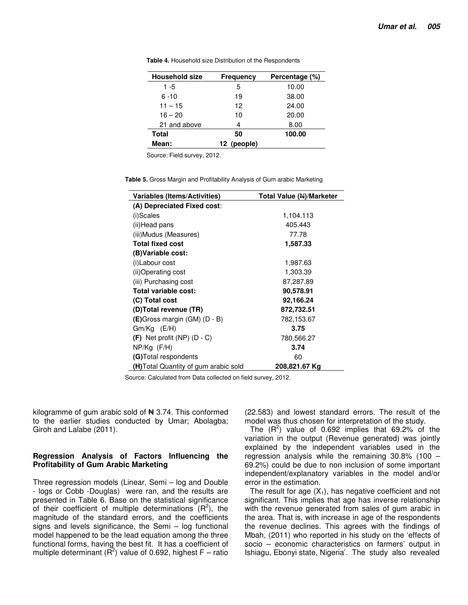| <b>Household size</b> | Frequency   | Percentage (%) |
|-----------------------|-------------|----------------|
| 1 -5                  | 5           | 10.00          |
| $6 - 10$              | 19          | 38.00          |
| $11 - 15$             | 12          | 24.00          |
| $16 - 20$             | 10          | 20.00          |
| 21 and above          | 4           | 8.00           |
| Total                 | 50          | 100.00         |
| Mean:                 | 12 (people) |                |

**Table 4.** Household size Distribution of the Respondents

Source: Field survey, 2012.

**Table 5.** Gross Margin and Profitability Analysis of Gum arabic Marketing

| Variables (Items/Activities)         | Total Value (N)/Marketer |
|--------------------------------------|--------------------------|
| (A) Depreciated Fixed cost:          |                          |
| (i)Scales                            | 1,104.113                |
| (ii)Head pans                        | 405.443                  |
| (iii)Mudus (Measures)                | 77.78                    |
| <b>Total fixed cost</b>              | 1,587.33                 |
| (B) Variable cost:                   |                          |
| (i)Labour cost                       | 1,987.63                 |
| (ii)Operating cost                   | 1,303.39                 |
| (iii) Purchasing cost                | 87,287.89                |
| Total variable cost:                 | 90,578.91                |
| (C) Total cost                       | 92,166.24                |
| (D)Total revenue (TR)                | 872,732.51               |
| $(E)$ Gross margin (GM) (D - B)      | 782,153.67               |
| $Gm/Kq$ (E/H)                        | 3.75                     |
| $(F)$ Net profit (NP) (D - C)        | 780,566.27               |
| $NP/Kq$ (F/H)                        | 3.74                     |
| (G) Total respondents                | 60                       |
| (H)Total Quantity of gum arabic sold | 208,821.67 Kg            |

Source: Calculated from Data collected on field survey, 2012.

kilogramme of gum arabic sold of  $\blacktriangleleft$  3.74. This conformed to the earlier studies conducted by Umar; Abolagba; Giroh and Lalabe (2011).

### **Regression Analysis of Factors Influencing the Profitability of Gum Arabic Marketing**

Three regression models (Linear, Semi – log and Double - logs or Cobb -Douglas) were ran, and the results are presented in Table 6. Base on the statistical significance of their coefficient of multiple determinations  $(R^2)$ , the magnitude of the standard errors, and the coefficients signs and levels significance, the Semi – log functional model happened to be the lead equation among the three functional forms, having the best fit. It has a coefficient of multiple determinant ( $\overline{R}^2$ ) value of 0.692, highest F – ratio (22.583) and lowest standard errors. The result of the model was thus chosen for interpretation of the study.

The  $(R^2)$  value of 0.692 implies that 69.2% of the variation in the output (Revenue generated) was jointly explained by the independent variables used in the regression analysis while the remaining 30.8% (100 – 69.2%) could be due to non inclusion of some important independent/explanatory variables in the model and/or error in the estimation.

The result for age  $(X_1)$ , has negative coefficient and not significant. This implies that age has inverse relationship with the revenue generated from sales of gum arabic in the area. That is, with increase in age of the respondents the revenue declines. This agrees with the findings of Mbah, (2011) who reported in his study on the 'effects of socio – economic characteristics on farmers' output in Ishiagu, Ebonyi state, Nigeria'. The study also revealed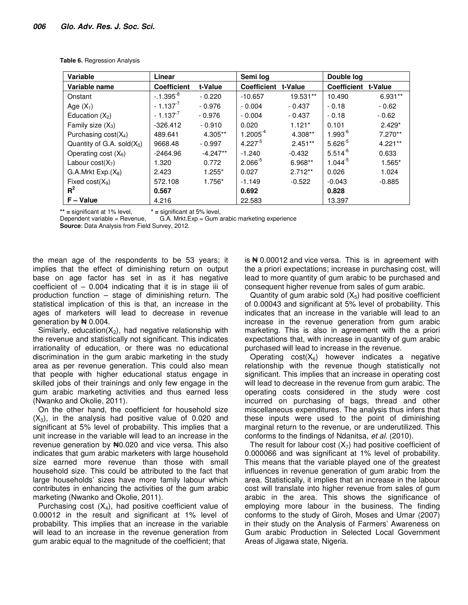| Variable                         | Linear             |            | Semi log           |           | Double log          |           |
|----------------------------------|--------------------|------------|--------------------|-----------|---------------------|-----------|
| Variable name                    | <b>Coefficient</b> | t-Value    | <b>Coefficient</b> | t-Value   | Coefficient t-Value |           |
| Onstant                          | $-1.395^{8}$       | $-0.220$   | $-10.657$          | 19.531**  | 10.490              | $6.931**$ |
| Age $(X_1)$                      | $-1.137^{7}$       | $-0.976$   | $-0.004$           | $-0.437$  | $-0.18$             | $-0.62$   |
| Education $(X_2)$                | $-1.137^{7}$       | $-0.976$   | $-0.004$           | $-0.437$  | $-0.18$             | $-0.62$   |
| Family size $(X_3)$              | $-326.412$         | $-0.910$   | 0.020              | $1.121*$  | 0.101               | $2.429*$  |
| Purchasing cost(X <sub>4</sub> ) | 489.641            | 4.305**    | $1.2005^{-4}$      | 4.308**   | $1.993^{6}$         | $7.270**$ |
| Quantity of G.A. sold $(X_5)$    | 9668.48            | $-0.997$   | $4.227^{b}$        | $2.451**$ | $5.626^{5}$         | $4.221**$ |
| Operating cost $(X_6)$           | $-2464.96$         | $-4.247**$ | $-1.240$           | $-0.432$  | $5.514^{-6}$        | 0.633     |
| Labour $cost(X_7)$               | 1.320              | 0.772      | $2.066^{5}$        | 6.968**   | $1.044^{5}$         | $1.565*$  |
| G.A.Mrkt Exp.(X <sub>8</sub> )   | 2.423              | $1.255*$   | 0.027              | $2.712**$ | 0.026               | 1.024     |
| Fixed $cost(X_9)$                | 572.108            | 1.756*     | $-1.149$           | $-0.522$  | $-0.043$            | $-0.885$  |
| $R^2$                            | 0.567              |            | 0.692              |           | 0.828               |           |
| $F - Value$                      | 4.216              |            | 22.583             |           | 13.397              |           |

**Table 6.** Regression Analysis

**\*\* =** significant at 1% level, **\* =** significant at 5% level,

Dependent variable = Revenue, G.A. Mrkt.Exp = Gum arabic marketing experience

**Source**: Data Analysis from Field Survey, 2012.

the mean age of the respondents to be 53 years; it implies that the effect of diminishing return on output base on age factor has set in as it has negative coefficient of  $-$  0.004 indicating that it is in stage iii of production function – stage of diminishing return. The statistical implication of this is that, an increase in the ages of marketers will lead to decrease in revenue generation by  $\pm 0.004$ .

Similarly, education( $X_2$ ), had negative relationship with the revenue and statistically not significant. This indicates irrationality of education, or there was no educational discrimination in the gum arabic marketing in the study area as per revenue generation. This could also mean that people with higher educational status engage in skilled jobs of their trainings and only few engage in the gum arabic marketing activities and thus earned less (Nwanko and Okolie, 2011).

On the other hand, the coefficient for household size  $(X_3)$ , in the analysis had positive value of 0.020 and significant at 5% level of probability. This implies that a unit increase in the variable will lead to an increase in the revenue generation by  $\text{H}0.020$  and vice versa. This also indicates that gum arabic marketers with large household size earned more revenue than those with small household size. This could be attributed to the fact that large households' sizes have more family labour which contributes in enhancing the activities of the gum arabic marketing (Nwanko and Okolie, 2011).

Purchasing cost  $(X_4)$ , had positive coefficient value of 0.00012 in the result and significant at 1% level of probability. This implies that an increase in the variable will lead to an increase in the revenue generation from gum arabic equal to the magnitude of the coefficient; that

is  $\# 0.00012$  and vice versa. This is in agreement with the a priori expectations; increase in purchasing cost, will lead to more quantity of gum arabic to be purchased and consequent higher revenue from sales of gum arabic.

Quantity of gum arabic sold  $(X_5)$  had positive coefficient of 0.00043 and significant at 5% level of probability. This indicates that an increase in the variable will lead to an increase in the revenue generation from gum arabic marketing. This is also in agreement with the a priori expectations that, with increase in quantity of gum arabic purchased will lead to increase in the revenue.

Operating  $cost(X_6)$  however indicates a negative relationship with the revenue though statistically not significant. This implies that an increase in operating cost will lead to decrease in the revenue from gum arabic. The operating costs considered in the study were cost incurred on purchasing of bags, thread and other miscellaneous expenditures. The analysis thus infers that these inputs were used to the point of diminishing marginal return to the revenue, or are underutilized. This conforms to the findings of Ndanitsa, *et al.* (2010).

The result for labour cost  $(X_7)$  had positive coefficient of 0.000066 and was significant at 1% level of probability. This means that the variable played one of the greatest influences in revenue generation of gum arabic from the area. Statistically, it implies that an increase in the labour cost will translate into higher revenue from sales of gum arabic in the area. This shows the significance of employing more labour in the business. The finding conforms to the study of Giroh, Moses and Umar (2007) in their study on the Analysis of Farmers' Awareness on Gum arabic Production in Selected Local Government Areas of Jigawa state, Nigeria.